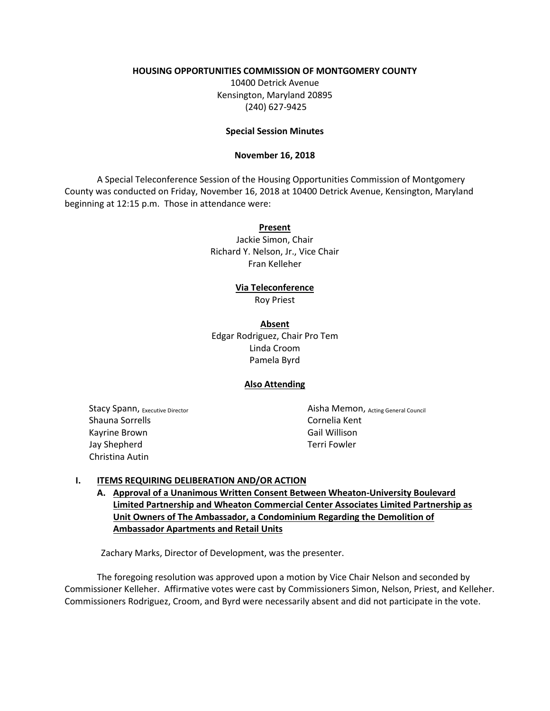# **HOUSING OPPORTUNITIES COMMISSION OF MONTGOMERY COUNTY**

10400 Detrick Avenue Kensington, Maryland 20895 (240) 627-9425

## **Special Session Minutes**

### **November 16, 2018**

A Special Teleconference Session of the Housing Opportunities Commission of Montgomery County was conducted on Friday, November 16, 2018 at 10400 Detrick Avenue, Kensington, Maryland beginning at 12:15 p.m. Those in attendance were:

#### **Present**

Jackie Simon, Chair Richard Y. Nelson, Jr., Vice Chair Fran Kelleher

### **Via Teleconference**

Roy Priest

**Absent** Edgar Rodriguez, Chair Pro Tem Linda Croom Pamela Byrd

### **Also Attending**

Stacy Spann, Executive Director Shauna Sorrells Kayrine Brown Jay Shepherd Christina Autin

Aisha Memon, Acting General Council Cornelia Kent Gail Willison Terri Fowler

### **I. ITEMS REQUIRING DELIBERATION AND/OR ACTION**

**A. Approval of a Unanimous Written Consent Between Wheaton-University Boulevard Limited Partnership and Wheaton Commercial Center Associates Limited Partnership as Unit Owners of The Ambassador, a Condominium Regarding the Demolition of Ambassador Apartments and Retail Units**

Zachary Marks, Director of Development, was the presenter.

The foregoing resolution was approved upon a motion by Vice Chair Nelson and seconded by Commissioner Kelleher. Affirmative votes were cast by Commissioners Simon, Nelson, Priest, and Kelleher. Commissioners Rodriguez, Croom, and Byrd were necessarily absent and did not participate in the vote.